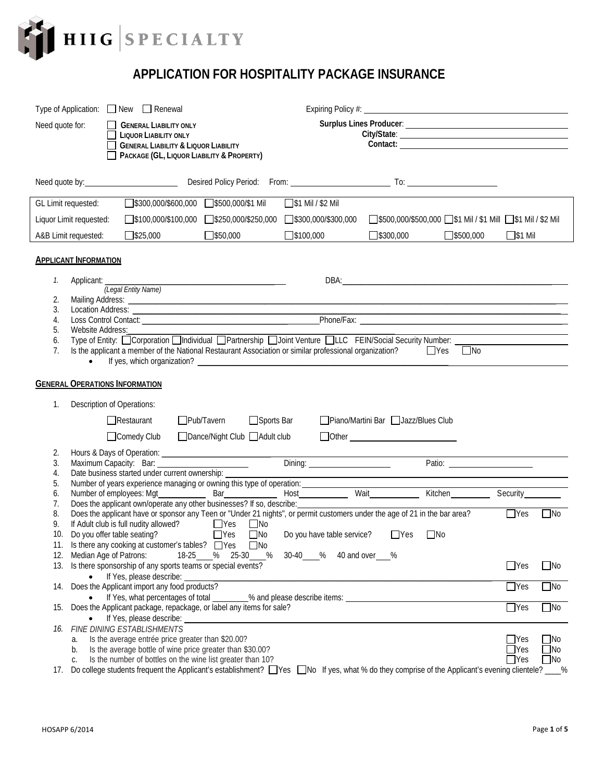

## **APPLICATION FOR HOSPITALITY PACKAGE INSURANCE**

|                                       |                            | Type of Application: $\Box$ New $\Box$ Renewal                                                                                                                                                                                 |                   |                                 |            |                            |                                                                                                                                                                                                                                     |           |           |                |              |
|---------------------------------------|----------------------------|--------------------------------------------------------------------------------------------------------------------------------------------------------------------------------------------------------------------------------|-------------------|---------------------------------|------------|----------------------------|-------------------------------------------------------------------------------------------------------------------------------------------------------------------------------------------------------------------------------------|-----------|-----------|----------------|--------------|
| Need quote for:                       |                            | <b>GENERAL LIABILITY ONLY</b>                                                                                                                                                                                                  |                   |                                 |            |                            |                                                                                                                                                                                                                                     |           |           |                |              |
| <b>LIQUOR LIABILITY ONLY</b>          |                            |                                                                                                                                                                                                                                |                   |                                 |            |                            |                                                                                                                                                                                                                                     |           |           |                |              |
|                                       |                            | <b>GENERAL LIABILITY &amp; LIQUOR LIABILITY</b>                                                                                                                                                                                |                   |                                 |            |                            | Contact:                                                                                                                                                                                                                            |           |           |                |              |
|                                       |                            | PACKAGE (GL, LIQUOR LIABILITY & PROPERTY)                                                                                                                                                                                      |                   |                                 |            |                            |                                                                                                                                                                                                                                     |           |           |                |              |
|                                       |                            |                                                                                                                                                                                                                                |                   |                                 |            |                            |                                                                                                                                                                                                                                     |           |           |                |              |
|                                       |                            |                                                                                                                                                                                                                                |                   |                                 |            |                            |                                                                                                                                                                                                                                     |           |           |                |              |
|                                       |                            |                                                                                                                                                                                                                                |                   |                                 |            |                            |                                                                                                                                                                                                                                     |           |           |                |              |
| GL Limit requested:                   |                            | S300,000/\$600,000 \\$500,000/\$1 Mil                                                                                                                                                                                          |                   |                                 |            | $\Box$ \$1 Mil / \$2 Mil   |                                                                                                                                                                                                                                     |           |           |                |              |
| Liquor Limit requested:               |                            | $\Box$ \$100,000/\$100,000                                                                                                                                                                                                     |                   | 5250,000/\$250,000              |            | $\Box$ \$300,000/\$300,000 | S500,000/\$500,000 S1 Mil / \$1 Mill S1 Mil / \$2 Mil                                                                                                                                                                               |           |           |                |              |
| A&B Limit requested:                  |                            | $\Box$ \$25,000                                                                                                                                                                                                                |                   | 550,000                         |            | $\Box$ \$100,000           | $\Box$ \$300,000                                                                                                                                                                                                                    |           | 5500,000  | $\Box$ \$1 Mil |              |
|                                       |                            |                                                                                                                                                                                                                                |                   |                                 |            |                            |                                                                                                                                                                                                                                     |           |           |                |              |
| <b>APPLICANT INFORMATION</b>          |                            |                                                                                                                                                                                                                                |                   |                                 |            |                            |                                                                                                                                                                                                                                     |           |           |                |              |
|                                       |                            |                                                                                                                                                                                                                                |                   |                                 |            |                            |                                                                                                                                                                                                                                     |           |           |                |              |
| 1.                                    |                            |                                                                                                                                                                                                                                |                   |                                 |            |                            |                                                                                                                                                                                                                                     |           |           |                |              |
|                                       |                            | Applicant: (Legal Entity Name)                                                                                                                                                                                                 |                   |                                 |            |                            |                                                                                                                                                                                                                                     |           |           |                |              |
| 2.                                    |                            | Mailing Address: National Address: National Address: National Address: National Address: National Address: National Address: National Address: National Address: National Address: National Address: National Address: Nationa |                   |                                 |            |                            |                                                                                                                                                                                                                                     |           |           |                |              |
| 3.                                    |                            |                                                                                                                                                                                                                                |                   |                                 |            |                            | Location Address: <u>Control Contact:</u> Control Contact: Control Contact: Control Contact: Contact: Contact: Contact: Contact: Contact: Contact: Contact: Contact: Contact: Contact: Contact: Contact: Contact: Contact: Contact: |           |           |                |              |
| 4.<br>5.                              | Website Address:           |                                                                                                                                                                                                                                |                   |                                 |            |                            |                                                                                                                                                                                                                                     |           |           |                |              |
| 6.                                    |                            |                                                                                                                                                                                                                                |                   |                                 |            |                            |                                                                                                                                                                                                                                     |           |           |                |              |
| 7.                                    |                            |                                                                                                                                                                                                                                |                   |                                 |            |                            | Is the applicant a member of the National Restaurant Association or similar professional organization?                                                                                                                              |           | $\Box$ No |                |              |
|                                       | $\bullet$                  |                                                                                                                                                                                                                                |                   |                                 |            |                            |                                                                                                                                                                                                                                     |           |           |                |              |
|                                       |                            |                                                                                                                                                                                                                                |                   |                                 |            |                            |                                                                                                                                                                                                                                     |           |           |                |              |
| <b>GENERAL OPERATIONS INFORMATION</b> |                            |                                                                                                                                                                                                                                |                   |                                 |            |                            |                                                                                                                                                                                                                                     |           |           |                |              |
|                                       |                            |                                                                                                                                                                                                                                |                   |                                 |            |                            |                                                                                                                                                                                                                                     |           |           |                |              |
| 1.                                    | Description of Operations: |                                                                                                                                                                                                                                |                   |                                 |            |                            |                                                                                                                                                                                                                                     |           |           |                |              |
|                                       |                            | $\Box$ Restaurant                                                                                                                                                                                                              | $\Box$ Pub/Tavern |                                 | Sports Bar |                            | □ Piano/Martini Bar □ Jazz/Blues Club                                                                                                                                                                                               |           |           |                |              |
|                                       |                            | □ Comedy Club                                                                                                                                                                                                                  |                   | □ Dance/Night Club □ Adult club |            |                            |                                                                                                                                                                                                                                     |           |           |                |              |
|                                       |                            |                                                                                                                                                                                                                                |                   |                                 |            |                            |                                                                                                                                                                                                                                     |           |           |                |              |
| 2.<br>3.                              |                            |                                                                                                                                                                                                                                |                   |                                 |            |                            |                                                                                                                                                                                                                                     |           |           |                |              |
| 4.                                    |                            | Date business started under current ownership: _________________________________                                                                                                                                               |                   |                                 |            |                            |                                                                                                                                                                                                                                     |           | Patio:    |                |              |
| 5.                                    |                            | Number of years experience managing or owning this type of operation: __________                                                                                                                                               |                   |                                 |            |                            |                                                                                                                                                                                                                                     |           |           |                |              |
| 6.                                    |                            |                                                                                                                                                                                                                                |                   |                                 |            |                            |                                                                                                                                                                                                                                     |           |           |                |              |
| 7.                                    |                            | Does the applicant own/operate any other businesses? If so, describe:                                                                                                                                                          |                   |                                 |            |                            |                                                                                                                                                                                                                                     |           |           |                |              |
| 8.                                    |                            |                                                                                                                                                                                                                                |                   |                                 |            |                            | Does the applicant have or sponsor any Teen or "Under 21 nights", or permit customers under the age of 21 in the bar area?                                                                                                          |           |           | $\Box$ Yes     | $\Box$ No    |
| 9.                                    |                            | If Adult club is full nudity allowed? ■ Yes Mo                                                                                                                                                                                 |                   |                                 |            |                            |                                                                                                                                                                                                                                     |           |           |                |              |
| 10.                                   |                            | Do you offer table seating?                                                                                                                                                                                                    |                   | $\Box$ Yes                      | $\Box$ No  | Do you have table service? | $\Box$ Yes                                                                                                                                                                                                                          | $\Box$ No |           |                |              |
|                                       |                            | 11. Is there any cooking at customer's tables? □ Yes □ No                                                                                                                                                                      |                   |                                 |            |                            |                                                                                                                                                                                                                                     |           |           |                |              |
|                                       | 12. Median Age of Patrons: |                                                                                                                                                                                                                                | 18-25 %           |                                 | 25-30 %    | 30-40 % 40 and over %      |                                                                                                                                                                                                                                     |           |           |                |              |
|                                       |                            | 13. Is there sponsorship of any sports teams or special events?<br>If Yes, please describe:                                                                                                                                    |                   |                                 |            |                            |                                                                                                                                                                                                                                     |           |           | $\Box$ Yes     | $\Box$ No    |
|                                       |                            | 14. Does the Applicant import any food products?                                                                                                                                                                               |                   |                                 |            |                            |                                                                                                                                                                                                                                     |           |           | $\Box$ Yes     | $\square$ No |
|                                       |                            | If Yes, what percentages of total                                                                                                                                                                                              |                   |                                 |            |                            | % and please describe items:                                                                                                                                                                                                        |           |           |                |              |
| 15.                                   |                            | Does the Applicant package, repackage, or label any items for sale?                                                                                                                                                            |                   |                                 |            |                            |                                                                                                                                                                                                                                     |           |           | $\Box$ Yes     | $\Box$ No    |
|                                       |                            | If Yes, please describe: _                                                                                                                                                                                                     |                   |                                 |            |                            |                                                                                                                                                                                                                                     |           |           |                |              |
|                                       |                            | 16. FINE DINING ESTABLISHMENTS                                                                                                                                                                                                 |                   |                                 |            |                            |                                                                                                                                                                                                                                     |           |           |                |              |
| а.                                    |                            | Is the average entrée price greater than \$20.00?                                                                                                                                                                              |                   |                                 |            |                            |                                                                                                                                                                                                                                     |           |           | $\Box$ Yes     | $\Box$ No    |
| b.                                    |                            | Is the average bottle of wine price greater than \$30.00?                                                                                                                                                                      |                   |                                 |            |                            |                                                                                                                                                                                                                                     |           |           | $\Box$ Yes     | $\square$ No |
| C.                                    |                            | Is the number of bottles on the wine list greater than 10?                                                                                                                                                                     |                   |                                 |            |                            |                                                                                                                                                                                                                                     |           |           | $\Box$ Yes     | $\Box$ No    |
| 17.                                   |                            |                                                                                                                                                                                                                                |                   |                                 |            |                            | Do college students frequent the Applicant's establishment? Thes Tho If yes, what % do they comprise of the Applicant's evening clientele?                                                                                          |           |           |                | $\_\%$       |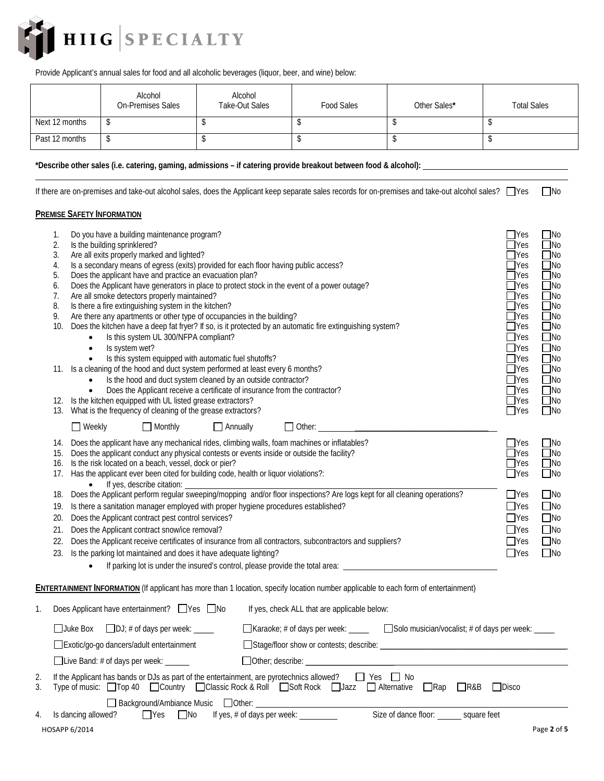

Provide Applicant's annual sales for food and all alcoholic beverages (liquor, beer, and wine) below:

|                | Alcohol<br><b>On-Premises Sales</b> | Alcohol<br><b>Take-Out Sales</b> | Food Sales | Other Sales* | <b>Total Sales</b> |
|----------------|-------------------------------------|----------------------------------|------------|--------------|--------------------|
| Next 12 months |                                     |                                  |            |              |                    |
| Past 12 months |                                     |                                  |            |              |                    |

**\*Describe other sales (i.e. catering, gaming, admissions – if catering provide breakout between food & alcohol):** 

If there are on-premises and take-out alcohol sales, does the Applicant keep separate sales records for on-premises and take-out alcohol sales?  $\Box$ Yes  $\Box$ No

## **PREMISE SAFETY INFORMATION**

|          | 1.<br>2.<br>3.<br>4.<br>5.<br>6.<br>7.<br>8.<br>9.<br>10.<br>12. | Is the building sprinklered?<br>$\bullet$<br>$\bullet$<br>$\bullet$<br>$\bullet$ | Do you have a building maintenance program?<br>Are all exits properly marked and lighted?<br>Is a secondary means of egress (exits) provided for each floor having public access?<br>Does the applicant have and practice an evacuation plan?<br>Does the Applicant have generators in place to protect stock in the event of a power outage?<br>Are all smoke detectors properly maintained?<br>Is there a fire extinguishing system in the kitchen?<br>Are there any apartments or other type of occupancies in the building?<br>Does the kitchen have a deep fat fryer? If so, is it protected by an automatic fire extinguishing system?<br>Is this system UL 300/NFPA compliant?<br>Is system wet?<br>Is this system equipped with automatic fuel shutoffs?<br>11. Is a cleaning of the hood and duct system performed at least every 6 months?<br>Is the hood and duct system cleaned by an outside contractor?<br>Does the Applicant receive a certificate of insurance from the contractor?<br>Is the kitchen equipped with UL listed grease extractors? |                 |                                                                                        |  | $\Box$ Yes<br>$\Box$ Yes<br>$\exists$ Yes<br>$\Box$ Yes<br>$\Box$ Yes<br>$\Box$ Yes<br>$\Box$ Yes<br>$\Box$ Yes<br>$\Box$ Yes<br>$\Box$ Yes<br>$\Box$ Yes<br>$\Box$ Yes<br>$\Box$ Yes<br>$\Box$ Yes<br>$\Box$ Yes<br>$\Box$ Yes<br>$\Box$ Yes | $\Box$ No<br>$\Box$ No<br>$\Box$ No<br>$\Box$ No<br>$\Box$ No<br>$\Box$ No<br>$\Box$ No<br>$\Box$ No<br>$\Box$ No<br>$\Box$ No<br>$\Box$ No<br>$\square$ No<br>$\Box$ No<br>$\Box$ No<br>$\Box$ No<br>$\Box$ No<br>  No |
|----------|------------------------------------------------------------------|----------------------------------------------------------------------------------|------------------------------------------------------------------------------------------------------------------------------------------------------------------------------------------------------------------------------------------------------------------------------------------------------------------------------------------------------------------------------------------------------------------------------------------------------------------------------------------------------------------------------------------------------------------------------------------------------------------------------------------------------------------------------------------------------------------------------------------------------------------------------------------------------------------------------------------------------------------------------------------------------------------------------------------------------------------------------------------------------------------------------------------------------------------|-----------------|----------------------------------------------------------------------------------------|--|-----------------------------------------------------------------------------------------------------------------------------------------------------------------------------------------------------------------------------------------------|-------------------------------------------------------------------------------------------------------------------------------------------------------------------------------------------------------------------------|
|          |                                                                  | $\Box$ Weekly                                                                    | 13. What is the frequency of cleaning of the grease extractors?<br>$\Box$ Monthly                                                                                                                                                                                                                                                                                                                                                                                                                                                                                                                                                                                                                                                                                                                                                                                                                                                                                                                                                                                | $\Box$ Annually |                                                                                        |  | $\Box$ Yes                                                                                                                                                                                                                                    | $\Box$ No                                                                                                                                                                                                               |
|          | 15.<br>18.<br>19.<br>20.<br>21.<br>22.<br>23.                    |                                                                                  | 14. Does the applicant have any mechanical rides, climbing walls, foam machines or inflatables?<br>Does the applicant conduct any physical contests or events inside or outside the facility?<br>16. Is the risk located on a beach, vessel, dock or pier?<br>17. Has the applicant ever been cited for building code, health or liquor violations?:<br>If yes, describe citation:<br>Does the Applicant perform regular sweeping/mopping and/or floor inspections? Are logs kept for all cleaning operations?<br>Is there a sanitation manager employed with proper hygiene procedures established?<br>Does the Applicant contract pest control services?<br>Does the Applicant contract snow/ice removal?<br>Does the Applicant receive certificates of insurance from all contractors, subcontractors and suppliers?<br>Is the parking lot maintained and does it have adequate lighting?                                                                                                                                                                     |                 |                                                                                        |  | $\Box$ Yes<br>$\exists$ Yes<br>$\bigcap$ Yes<br>$\Box$ Yes<br>$\Box$ Yes<br>$\Box$ Yes<br>$\Box$ Yes<br><b>Nes</b><br>$\Box$ Yes<br>$\Box$ Yes                                                                                                | $\Box$ No<br>$\Box$ No<br>$\Box$ No<br>$\square$ No<br>$\Box$ No<br>$\Box$ No<br>$\Box$ No<br>$\Box$ No<br>$\Box$ No<br>$\square$ No                                                                                    |
|          |                                                                  |                                                                                  | ENTERTAINMENT INFORMATION (If applicant has more than 1 location, specify location number applicable to each form of entertainment)                                                                                                                                                                                                                                                                                                                                                                                                                                                                                                                                                                                                                                                                                                                                                                                                                                                                                                                              |                 |                                                                                        |  |                                                                                                                                                                                                                                               |                                                                                                                                                                                                                         |
| 1.       |                                                                  |                                                                                  | Does Applicant have entertainment? □ Yes □ No                                                                                                                                                                                                                                                                                                                                                                                                                                                                                                                                                                                                                                                                                                                                                                                                                                                                                                                                                                                                                    |                 | If yes, check ALL that are applicable below:                                           |  |                                                                                                                                                                                                                                               |                                                                                                                                                                                                                         |
|          |                                                                  |                                                                                  | $\Box$ Juke Box $\Box$ DJ; # of days per week: $\Box$<br>Exotic/go-go dancers/adult entertainment                                                                                                                                                                                                                                                                                                                                                                                                                                                                                                                                                                                                                                                                                                                                                                                                                                                                                                                                                                |                 | ■ Karaoke; # of days per week: ______ Bolo musician/vocalist; # of days per week: ____ |  |                                                                                                                                                                                                                                               |                                                                                                                                                                                                                         |
|          |                                                                  |                                                                                  | □Live Band: # of days per week: ______                                                                                                                                                                                                                                                                                                                                                                                                                                                                                                                                                                                                                                                                                                                                                                                                                                                                                                                                                                                                                           |                 |                                                                                        |  |                                                                                                                                                                                                                                               |                                                                                                                                                                                                                         |
| 2.<br>3. |                                                                  |                                                                                  | If the Applicant has bands or DJs as part of the entertainment, are pyrotechnics allowed? $\Box$ Yes $\Box$ No<br>Type of music: □ Top 40 □ Country □ Classic Rock & Roll □ Soft Rock □ Jazz □ Alternative □ Rap □ R&B                                                                                                                                                                                                                                                                                                                                                                                                                                                                                                                                                                                                                                                                                                                                                                                                                                           |                 |                                                                                        |  | $\Box$ Disco                                                                                                                                                                                                                                  |                                                                                                                                                                                                                         |
|          |                                                                  |                                                                                  |                                                                                                                                                                                                                                                                                                                                                                                                                                                                                                                                                                                                                                                                                                                                                                                                                                                                                                                                                                                                                                                                  |                 |                                                                                        |  |                                                                                                                                                                                                                                               |                                                                                                                                                                                                                         |
| 4.       |                                                                  | Is dancing allowed?                                                              |                                                                                                                                                                                                                                                                                                                                                                                                                                                                                                                                                                                                                                                                                                                                                                                                                                                                                                                                                                                                                                                                  |                 |                                                                                        |  |                                                                                                                                                                                                                                               |                                                                                                                                                                                                                         |
|          |                                                                  | HOSAPP 6/2014                                                                    |                                                                                                                                                                                                                                                                                                                                                                                                                                                                                                                                                                                                                                                                                                                                                                                                                                                                                                                                                                                                                                                                  |                 |                                                                                        |  |                                                                                                                                                                                                                                               | Page 2 of 5                                                                                                                                                                                                             |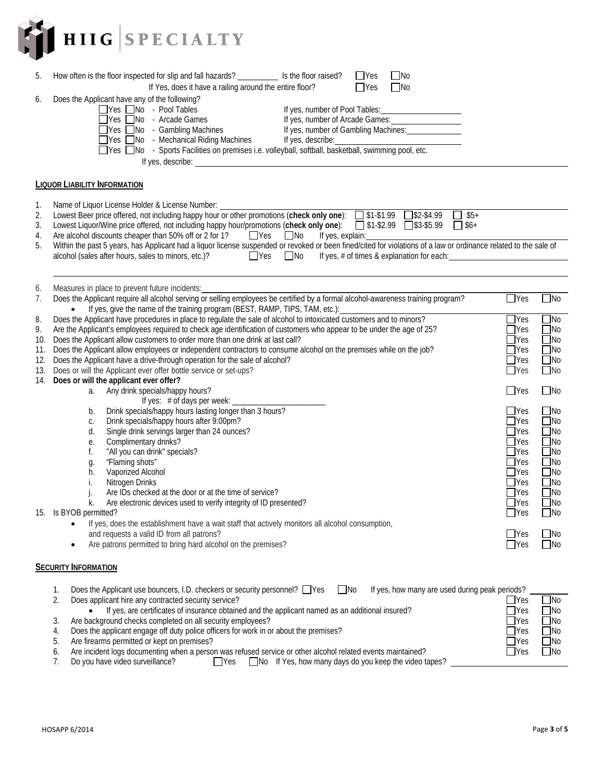

| 5.                                   | $\Box$ No<br>How often is the floor inspected for slip and fall hazards? ______________ Is the floor raised?<br>$\Box$ Yes<br>If Yes, does it have a railing around the entire floor?<br>$\Box$ No<br>$\Box$ Yes                                                                                                                                                                                                                                                                                                                                                                                                                                                                                                                                                                                                                                                                                                                                                                                                                                                                                                                                                                                 |                                                                                                                                                                                                                                          |                                                                                                                                                                                                                       |
|--------------------------------------|--------------------------------------------------------------------------------------------------------------------------------------------------------------------------------------------------------------------------------------------------------------------------------------------------------------------------------------------------------------------------------------------------------------------------------------------------------------------------------------------------------------------------------------------------------------------------------------------------------------------------------------------------------------------------------------------------------------------------------------------------------------------------------------------------------------------------------------------------------------------------------------------------------------------------------------------------------------------------------------------------------------------------------------------------------------------------------------------------------------------------------------------------------------------------------------------------|------------------------------------------------------------------------------------------------------------------------------------------------------------------------------------------------------------------------------------------|-----------------------------------------------------------------------------------------------------------------------------------------------------------------------------------------------------------------------|
| 6.                                   | Does the Applicant have any of the following?<br>□Yes □No - Pool Tables<br>If yes, number of Pool Tables: 1999<br>□Yes □No - Arcade Games<br>If yes, number of Arcade Games:<br>If yes, number of Gambling Machines: _____________<br>$\Box$ Yes $\Box$ No - Gambling Machines<br>■ Yes ■ No - Mechanical Riding Machines<br>If yes, describe:<br>∐Yes I_INo → Mechanical Riding Machines Fires, describe:<br>∏Yes ∏No → Sports Facilities on premises i.e. volleyball, softball, basketball, swimming pool, etc.<br>If yes, describe: <u>example and the set of the set of the set of the set of the set of the set of the set of the set of the set of the set of the set of the set of the set of the set of the set of the set of the set of the </u>                                                                                                                                                                                                                                                                                                                                                                                                                                        |                                                                                                                                                                                                                                          |                                                                                                                                                                                                                       |
|                                      | <b>LIQUOR LIABILITY INFORMATION</b>                                                                                                                                                                                                                                                                                                                                                                                                                                                                                                                                                                                                                                                                                                                                                                                                                                                                                                                                                                                                                                                                                                                                                              |                                                                                                                                                                                                                                          |                                                                                                                                                                                                                       |
| 1.<br>2.<br>3.<br>4.<br>5.           | Name of Liquor License Holder & License Number:<br>Lowest Beer price offered, not including happy hour or other promotions (check only one): 51-\$1.99 55+<br>Lowest Liquor/Wine price offered, not including happy hour/promotions (check only one): 51-\$2.99 S3-\$5.99<br>$\Box$ \$6+<br>Are alcohol discounts cheaper than 50% off or 2 for 1? $\Box$ Yes $\Box$ No<br>If yes, explain:<br>Within the past 5 years, has Applicant had a liquor license suspended or revoked or been fined/cited for violations of a law or ordinance related to the sale of<br>alcohol (sales after hours, sales to minors, etc.)?<br>$\Box$ Yes<br>$\Box$ No<br>If yes, # of times & explanation for each:                                                                                                                                                                                                                                                                                                                                                                                                                                                                                                  |                                                                                                                                                                                                                                          |                                                                                                                                                                                                                       |
| 6.<br>7.                             | Measures in place to prevent future incidents:<br>Does the Applicant require all alcohol serving or selling employees be certified by a formal alcohol-awareness training program?                                                                                                                                                                                                                                                                                                                                                                                                                                                                                                                                                                                                                                                                                                                                                                                                                                                                                                                                                                                                               | $\Box$ Yes                                                                                                                                                                                                                               | $\Box$ No                                                                                                                                                                                                             |
| 8.<br>9.<br>10.<br>11.<br>12.<br>13. | If yes, give the name of the training program (BEST, RAMP, TIPS, TAM, etc.):<br>Does the Applicant have procedures in place to regulate the sale of alcohol to intoxicated customers and to minors?<br>Are the Applicant's employees required to check age identification of customers who appear to be under the age of 25?<br>Does the Applicant allow customers to order more than one drink at last call?<br>Does the Applicant allow employees or independent contractors to consume alcohol on the premises while on the job?<br>Does the Applicant have a drive-through operation for the sale of alcohol?<br>Does or will the Applicant ever offer bottle service or set-ups?<br>14. Does or will the applicant ever offer?<br>a. Any drink specials/happy hours?<br>If yes: # of days per week: _<br>Drink specials/happy hours lasting longer than 3 hours?<br>b.<br>Drink specials/happy hours after 9:00pm?<br>С.<br>Single drink servings larger than 24 ounces?<br>d.<br>Complimentary drinks?<br>е.<br>"All you can drink" specials?<br>f.<br>"Flaming shots"<br>g.<br>Vaporized Alcohol<br>h.<br>Nitrogen Drinks<br>İ.<br>Are IDs checked at the door or at the time of service? | $\exists$ Yes<br>$\Box$ Yes<br>$\exists$ Yes<br>$\Box$ Yes<br>$\Box$ Yes<br>$\Box$ Yes<br>$\Box$ Yes<br>$\Box$ Yes<br>$\Box$ Yes<br>$\Box$ Yes<br>$\Box$ Yes<br>$\Box$ Yes<br>$\Box$ Yes<br>$\exists$ Yes<br>$\exists$ Yes<br>$\Box$ Yes | $\square$ No<br>$\Box$ No<br>$\square$ No<br>$\Box$ No<br>$\Box$ No<br>$\square$ No<br>$\Box$ No<br>$\Box$ No<br>$\Box$ No<br>$\Box$ No<br>$\Box$ No<br>$\Box$ No<br>$\Box$ No<br>$\Box$ No<br>$\Box$ No<br>$\Box$ No |
|                                      | Are electronic devices used to verify integrity of ID presented?<br>k.<br>15. Is BYOB permitted?<br>If yes, does the establishment have a wait staff that actively monitors all alcohol consumption,<br>and requests a valid ID from all patrons?                                                                                                                                                                                                                                                                                                                                                                                                                                                                                                                                                                                                                                                                                                                                                                                                                                                                                                                                                | $\mathsf{\rpreceq}$ Yes<br>$\Box$ Yes<br><b>Nes</b>                                                                                                                                                                                      | No<br>∐No<br>No                                                                                                                                                                                                       |
|                                      | Are patrons permitted to bring hard alcohol on the premises?<br>$\bullet$<br><b>SECURITY INFORMATION</b><br>Does the Applicant use bouncers, I.D. checkers or security personnel? □ Yes<br>$\Box$ No<br>If yes, how many are used during peak periods?<br>1.<br>2.<br>Does applicant hire any contracted security service?<br>If yes, are certificates of insurance obtained and the applicant named as an additional insured?                                                                                                                                                                                                                                                                                                                                                                                                                                                                                                                                                                                                                                                                                                                                                                   | $\Box$ Yes<br>$\Box$ Yes<br>$\Box$ Yes                                                                                                                                                                                                   | $\Box$ No<br>_INo<br>$\square$ No                                                                                                                                                                                     |

- 
- 
- 5. Are firearms permitted or kept on premises?<br>6. Are incident logs documenting when a perso
- 3. Are background checks completed on all security employees?<br>
3. Are background checks completed on all security employees?<br>
3. Does the applicant engage off duty police officers for work in or about the premises?<br>
5. Are 4. Does the applicant engage off duty police officers for work in or about the premises?<br>
5. Are firearms permitted or kept on premises?<br>
6. Are incident logs documenting when a person was refused service or other alcohol
- 6. Are incident logs documenting when a person was refused service or other alcohol related events maintained?<br>7. Do you have video surveillance?  $\Box$  Yes  $\Box$  No If Yes, how many days do you keep the video t □ Yes □ No If Yes, how many days do you keep the video tapes?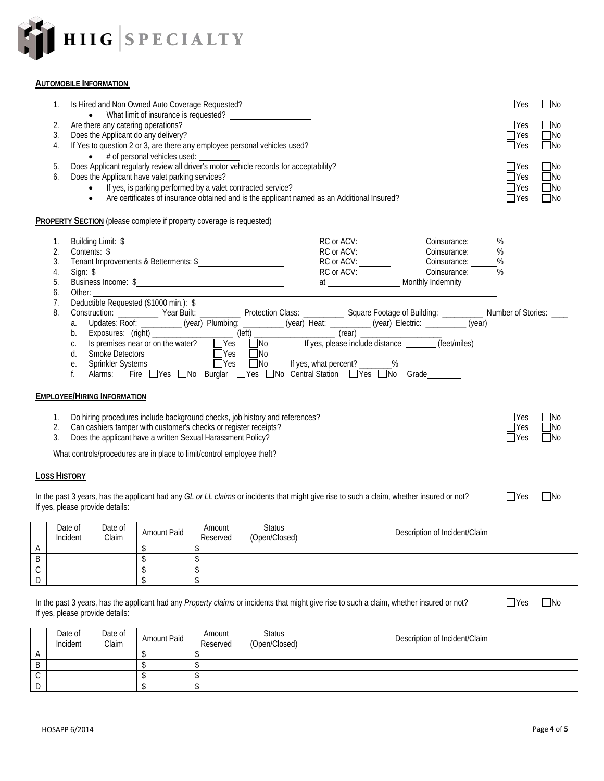

## **AUTOMOBILE INFORMATION**

| 1.<br>2.<br>3.<br>4.<br>5.<br>6.             | Is Hired and Non Owned Auto Coverage Requested?<br>Are there any catering operations?<br>Does the Applicant do any delivery?<br>If Yes to question 2 or 3, are there any employee personal vehicles used?<br>Does the Applicant have valet parking services?<br>• If yes, is parking performed by a valet contracted service?<br>Are certificates of insurance obtained and is the applicant named as an Additional Insured?<br>$\bullet$                                                                                                                                                                                                                                                                                                                                                                       | $\exists$ Yes<br><b>TYes</b><br>$\sqsupset$ Yes<br>$\Box$ Yes<br>$\Box$ Yes<br>$\Box$ Yes<br>$\Box$ Yes<br>$\Box$ Yes | $\Box$ No<br>$\square$ No<br>$\Box$ No<br>$\Box$ No<br>$\Box$ No<br>$\Box$ No<br>$\Box$ No<br>$\Box$ No |
|----------------------------------------------|-----------------------------------------------------------------------------------------------------------------------------------------------------------------------------------------------------------------------------------------------------------------------------------------------------------------------------------------------------------------------------------------------------------------------------------------------------------------------------------------------------------------------------------------------------------------------------------------------------------------------------------------------------------------------------------------------------------------------------------------------------------------------------------------------------------------|-----------------------------------------------------------------------------------------------------------------------|---------------------------------------------------------------------------------------------------------|
|                                              | <b>PROPERTY SECTION</b> (please complete if property coverage is requested)                                                                                                                                                                                                                                                                                                                                                                                                                                                                                                                                                                                                                                                                                                                                     |                                                                                                                       |                                                                                                         |
| 1.<br>2.<br>3.<br>4.<br>5.<br>6.<br>7.<br>8. | RC or ACV:<br>Coinsurance: ______ %<br>Contents: \$<br>Tenant Improvements & Betterments: \$<br>Sign: \$<br>Business Income: \$<br>Other: and the control of the control of the control of the control of the control of the control of the control of the control of the control of the control of the control of the control of the control of the control of t<br>Updates: Roof: (year) Plumbing: (year) Heat: (year) Heat: (year) Electric: (year) Electric: (year) Exposures: (right) (year) Plumbing: (left) (year) Heat: (year) Electric: (year) (year) Electric: (year) Electric: (year) Is<br>a.<br>b.<br>C.<br>Smoke Detectors<br>Sprinkler Systems<br>$\Box$ Yes $\Box$ No<br>d.<br>Sprinkler Systems<br>Alarms: Fire □Yes □No Burglar □Yes □No Central Station □Yes □No Grade _________<br>е.<br>f. |                                                                                                                       |                                                                                                         |
|                                              | <b>EMPLOYEE/HIRING INFORMATION</b>                                                                                                                                                                                                                                                                                                                                                                                                                                                                                                                                                                                                                                                                                                                                                                              |                                                                                                                       |                                                                                                         |
| $\mathbf{1}$ .<br>2.<br>3.                   | Do hiring procedures include background checks, job history and references?<br>Can cashiers tamper with customer's checks or register receipts?<br>Does the applicant have a written Sexual Harassment Policy?                                                                                                                                                                                                                                                                                                                                                                                                                                                                                                                                                                                                  | $\exists$ Yes<br>$\exists$ Yes<br>$\Box$ Yes                                                                          | $\Box$ No<br>$\square$ No<br>$\Box$ No                                                                  |
|                                              |                                                                                                                                                                                                                                                                                                                                                                                                                                                                                                                                                                                                                                                                                                                                                                                                                 |                                                                                                                       |                                                                                                         |
| <b>LOSS HISTORY</b>                          |                                                                                                                                                                                                                                                                                                                                                                                                                                                                                                                                                                                                                                                                                                                                                                                                                 |                                                                                                                       |                                                                                                         |
|                                              | In the past 3 years, has the applicant had any GL or LL claims or incidents that might give rise to such a claim, whether insured or not?<br>If yes, please provide details:                                                                                                                                                                                                                                                                                                                                                                                                                                                                                                                                                                                                                                    | $\Box$ Yes                                                                                                            | □No                                                                                                     |

|              | Date of<br>Incident | Date of<br>Claim | Amount Paid | Amount<br>Reserved | Status<br>(Open/Closed) | Description of Incident/Claim |
|--------------|---------------------|------------------|-------------|--------------------|-------------------------|-------------------------------|
| $\mathsf{A}$ |                     |                  |             |                    |                         |                               |
| B            |                     |                  |             |                    |                         |                               |
| $\sim$<br>◡  |                     |                  |             |                    |                         |                               |
| IJ           |                     |                  |             |                    |                         |                               |

In the past 3 years, has the applicant had any *Property claims* or incidents that might give rise to such a claim, whether insured or not? If yes, please provide details:

|             | Date of<br>Incident | Date of<br>Claim | <b>Amount Paid</b> | Amount<br>Reserved | <b>Status</b><br>(Open/Closed) | Description of Incident/Claim |
|-------------|---------------------|------------------|--------------------|--------------------|--------------------------------|-------------------------------|
| A           |                     |                  |                    |                    |                                |                               |
| Β           |                     |                  |                    |                    |                                |                               |
| $\sim$<br>◡ |                     |                  |                    |                    |                                |                               |
| D           |                     |                  |                    |                    |                                |                               |